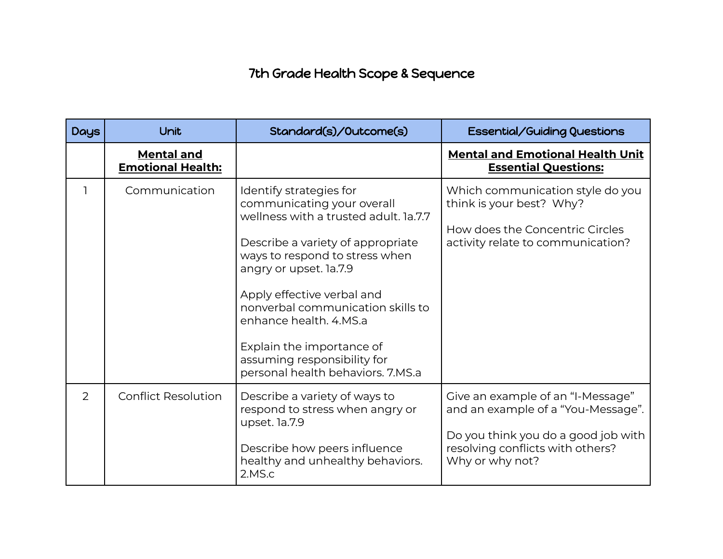## 7th Grade Health Scope & Sequence

| <b>Days</b> | Unit                                          | Standard(s)/Outcome(s)                                                                                                                                                                                                                                                                                                                                                                        | <b>Essential/Guiding Questions</b>                                                                                                                                    |
|-------------|-----------------------------------------------|-----------------------------------------------------------------------------------------------------------------------------------------------------------------------------------------------------------------------------------------------------------------------------------------------------------------------------------------------------------------------------------------------|-----------------------------------------------------------------------------------------------------------------------------------------------------------------------|
|             | <b>Mental and</b><br><b>Emotional Health:</b> |                                                                                                                                                                                                                                                                                                                                                                                               | <b>Mental and Emotional Health Unit</b><br><b>Essential Questions:</b>                                                                                                |
| ٦           | Communication                                 | Identify strategies for<br>communicating your overall<br>wellness with a trusted adult. la.7.7<br>Describe a variety of appropriate<br>ways to respond to stress when<br>angry or upset. la.7.9<br>Apply effective verbal and<br>nonverbal communication skills to<br>enhance health. 4.MS.a<br>Explain the importance of<br>assuming responsibility for<br>personal health behaviors. 7.MS.a | Which communication style do you<br>think is your best? Why?<br>How does the Concentric Circles<br>activity relate to communication?                                  |
| 2           | <b>Conflict Resolution</b>                    | Describe a variety of ways to<br>respond to stress when angry or<br>upset. la.7.9<br>Describe how peers influence<br>healthy and unhealthy behaviors.<br>2.MS.c                                                                                                                                                                                                                               | Give an example of an "I-Message"<br>and an example of a "You-Message".<br>Do you think you do a good job with<br>resolving conflicts with others?<br>Why or why not? |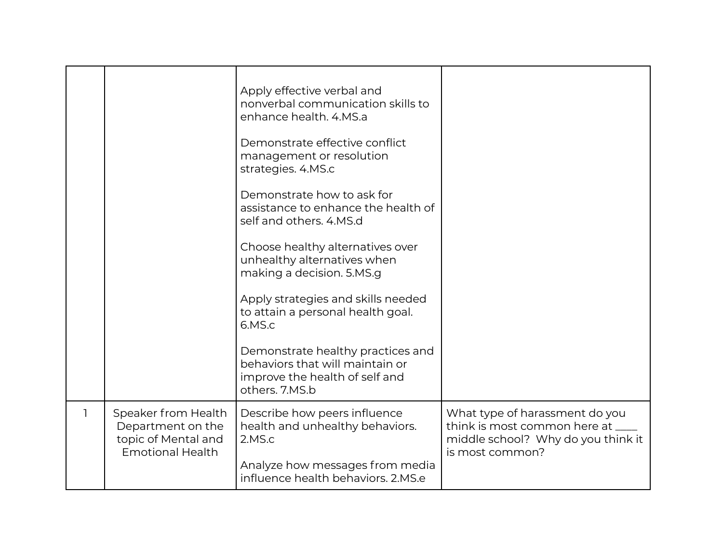|                                                                                            | Apply effective verbal and<br>nonverbal communication skills to<br>enhance health, 4.MS.a<br>Demonstrate effective conflict<br>management or resolution<br>strategies. 4.MS.c<br>Demonstrate how to ask for<br>assistance to enhance the health of<br>self and others. 4.MS.d<br>Choose healthy alternatives over<br>unhealthy alternatives when<br>making a decision. 5.MS.g<br>Apply strategies and skills needed<br>to attain a personal health goal.<br>6.MS.c |                                                                                                                              |
|--------------------------------------------------------------------------------------------|--------------------------------------------------------------------------------------------------------------------------------------------------------------------------------------------------------------------------------------------------------------------------------------------------------------------------------------------------------------------------------------------------------------------------------------------------------------------|------------------------------------------------------------------------------------------------------------------------------|
|                                                                                            | Demonstrate healthy practices and<br>behaviors that will maintain or<br>improve the health of self and<br>others. 7.MS.b                                                                                                                                                                                                                                                                                                                                           |                                                                                                                              |
| Speaker from Health<br>Department on the<br>topic of Mental and<br><b>Emotional Health</b> | Describe how peers influence<br>health and unhealthy behaviors.<br>2.MS.c<br>Analyze how messages from media                                                                                                                                                                                                                                                                                                                                                       | What type of harassment do you<br>think is most common here at ____<br>middle school? Why do you think it<br>is most common? |
|                                                                                            | influence health behaviors. 2.MS.e                                                                                                                                                                                                                                                                                                                                                                                                                                 |                                                                                                                              |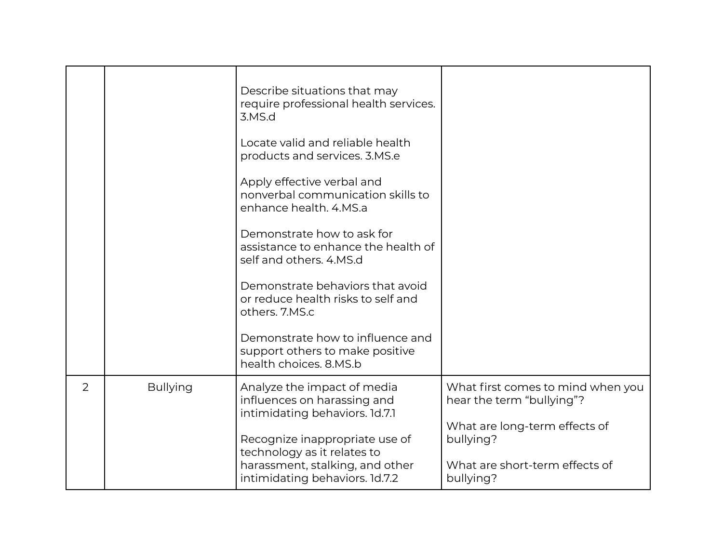|                |                 | Describe situations that may<br>require professional health services.<br>3.MS.d               |                                                                |
|----------------|-----------------|-----------------------------------------------------------------------------------------------|----------------------------------------------------------------|
|                |                 | Locate valid and reliable health<br>products and services. 3.MS.e                             |                                                                |
|                |                 | Apply effective verbal and<br>nonverbal communication skills to<br>enhance health. 4.MS.a     |                                                                |
|                |                 | Demonstrate how to ask for<br>assistance to enhance the health of<br>self and others, 4.MS.d  |                                                                |
|                |                 | Demonstrate behaviors that avoid<br>or reduce health risks to self and<br>others. 7.MS.c      |                                                                |
|                |                 | Demonstrate how to influence and<br>support others to make positive<br>health choices. 8.MS.b |                                                                |
| $\overline{2}$ | <b>Bullying</b> | Analyze the impact of media<br>influences on harassing and<br>intimidating behaviors. 1d.7.1  | What first comes to mind when you<br>hear the term "bullying"? |
|                |                 | Recognize inappropriate use of<br>technology as it relates to                                 | What are long-term effects of<br>bullying?                     |
|                |                 | harassment, stalking, and other<br>intimidating behaviors. 1d.7.2                             | What are short-term effects of<br>bullying?                    |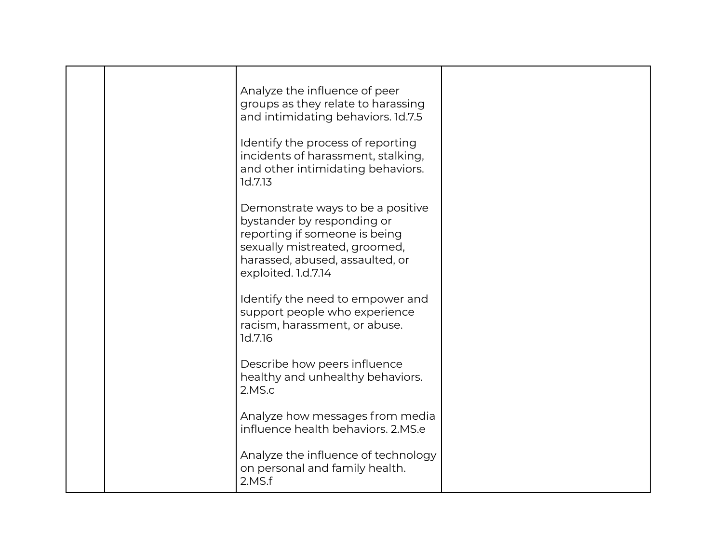|  | Analyze the influence of peer<br>groups as they relate to harassing<br>and intimidating behaviors. 1d.7.5                                                                                   |  |
|--|---------------------------------------------------------------------------------------------------------------------------------------------------------------------------------------------|--|
|  | Identify the process of reporting<br>incidents of harassment, stalking,<br>and other intimidating behaviors.<br>1d.7.13                                                                     |  |
|  | Demonstrate ways to be a positive<br>bystander by responding or<br>reporting if someone is being<br>sexually mistreated, groomed,<br>harassed, abused, assaulted, or<br>exploited. 1.d.7.14 |  |
|  | Identify the need to empower and<br>support people who experience<br>racism, harassment, or abuse.<br>1d.7.16                                                                               |  |
|  | Describe how peers influence<br>healthy and unhealthy behaviors.<br>2.MS.c                                                                                                                  |  |
|  | Analyze how messages from media<br>influence health behaviors, 2.MS.e                                                                                                                       |  |
|  | Analyze the influence of technology<br>on personal and family health.<br>2.MS.f                                                                                                             |  |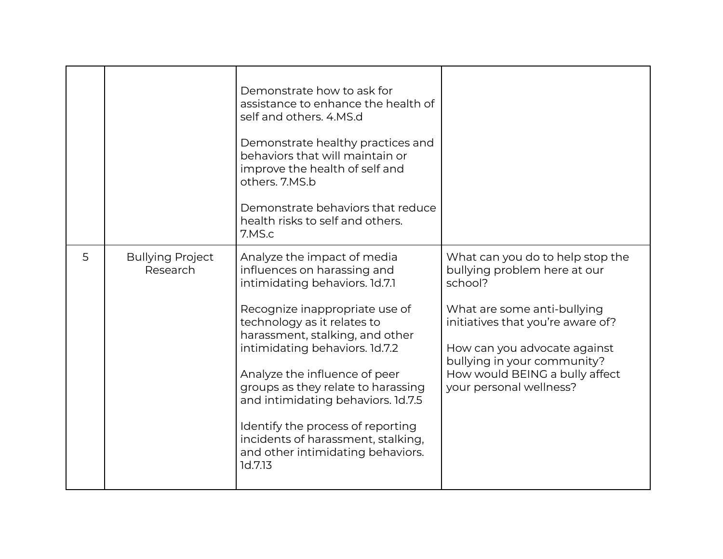|   |                                     | Demonstrate how to ask for<br>assistance to enhance the health of<br>self and others, 4.MS.d<br>Demonstrate healthy practices and<br>behaviors that will maintain or<br>improve the health of self and<br>others. 7.MS.b                                                                                                                                                                                                                                                   |                                                                                                                                                                                                                                                                             |
|---|-------------------------------------|----------------------------------------------------------------------------------------------------------------------------------------------------------------------------------------------------------------------------------------------------------------------------------------------------------------------------------------------------------------------------------------------------------------------------------------------------------------------------|-----------------------------------------------------------------------------------------------------------------------------------------------------------------------------------------------------------------------------------------------------------------------------|
|   |                                     | Demonstrate behaviors that reduce<br>health risks to self and others.<br>7.MS.c                                                                                                                                                                                                                                                                                                                                                                                            |                                                                                                                                                                                                                                                                             |
| 5 | <b>Bullying Project</b><br>Research | Analyze the impact of media<br>influences on harassing and<br>intimidating behaviors. 1d.7.1<br>Recognize inappropriate use of<br>technology as it relates to<br>harassment, stalking, and other<br>intimidating behaviors. 1d.7.2<br>Analyze the influence of peer<br>groups as they relate to harassing<br>and intimidating behaviors. 1d.7.5<br>Identify the process of reporting<br>incidents of harassment, stalking,<br>and other intimidating behaviors.<br>1d.7.13 | What can you do to help stop the<br>bullying problem here at our<br>school?<br>What are some anti-bullying<br>initiatives that you're aware of?<br>How can you advocate against<br>bullying in your community?<br>How would BEING a bully affect<br>your personal wellness? |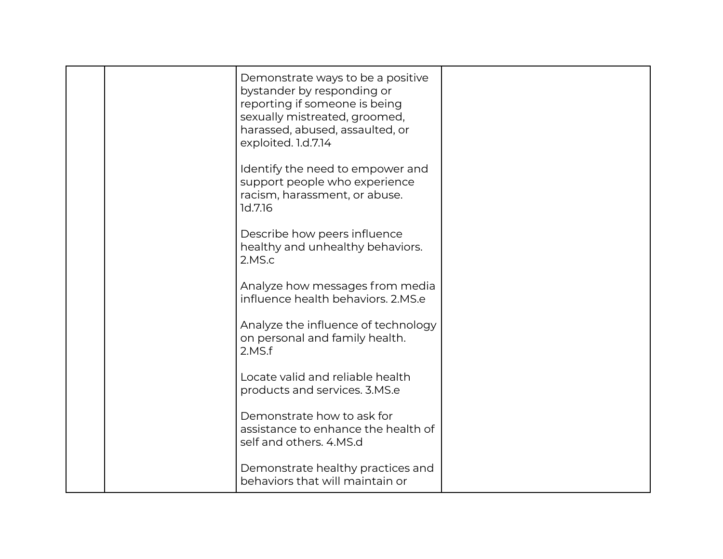|  | Demonstrate ways to be a positive<br>bystander by responding or<br>reporting if someone is being<br>sexually mistreated, groomed,<br>harassed, abused, assaulted, or<br>exploited. 1.d.7.14 |  |
|--|---------------------------------------------------------------------------------------------------------------------------------------------------------------------------------------------|--|
|  | Identify the need to empower and<br>support people who experience<br>racism, harassment, or abuse.<br>1d.7.16                                                                               |  |
|  | Describe how peers influence<br>healthy and unhealthy behaviors.<br>2.MS.c                                                                                                                  |  |
|  | Analyze how messages from media<br>influence health behaviors, 2.MS.e                                                                                                                       |  |
|  | Analyze the influence of technology<br>on personal and family health.<br>2.MS.f                                                                                                             |  |
|  | Locate valid and reliable health<br>products and services. 3.MS.e                                                                                                                           |  |
|  | Demonstrate how to ask for<br>assistance to enhance the health of<br>self and others. 4.MS.d                                                                                                |  |
|  | Demonstrate healthy practices and<br>behaviors that will maintain or                                                                                                                        |  |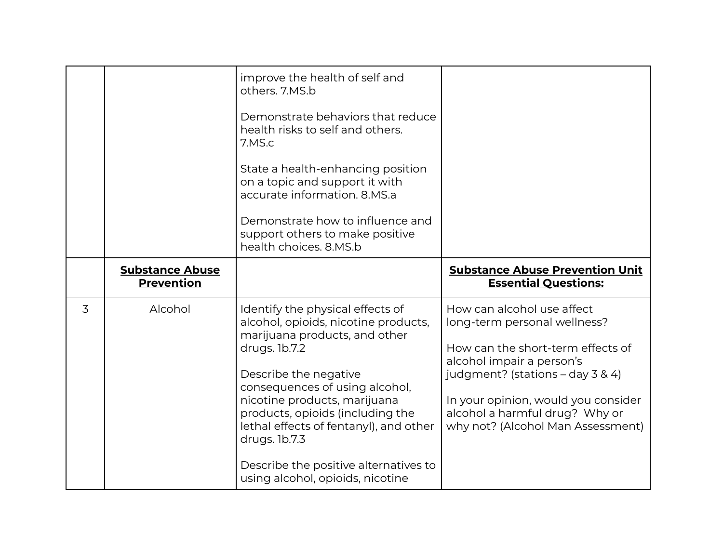|   |                                             | improve the health of self and<br>others. 7.MS.b<br>Demonstrate behaviors that reduce<br>health risks to self and others.<br>7.MS.c<br>State a health-enhancing position<br>on a topic and support it with<br>accurate information. 8.MS.a<br>Demonstrate how to influence and<br>support others to make positive<br>health choices. 8.MS.b                   |                                                                                                                                                                                                                                                                                  |
|---|---------------------------------------------|---------------------------------------------------------------------------------------------------------------------------------------------------------------------------------------------------------------------------------------------------------------------------------------------------------------------------------------------------------------|----------------------------------------------------------------------------------------------------------------------------------------------------------------------------------------------------------------------------------------------------------------------------------|
|   | <b>Substance Abuse</b><br><b>Prevention</b> |                                                                                                                                                                                                                                                                                                                                                               | <b>Substance Abuse Prevention Unit</b><br><b>Essential Questions:</b>                                                                                                                                                                                                            |
| 3 | Alcohol                                     | Identify the physical effects of<br>alcohol, opioids, nicotine products,<br>marijuana products, and other<br>drugs. 1b.7.2<br>Describe the negative<br>consequences of using alcohol,<br>nicotine products, marijuana<br>products, opioids (including the<br>lethal effects of fentanyl), and other<br>drugs. 1b.7.3<br>Describe the positive alternatives to | How can alcohol use affect<br>long-term personal wellness?<br>How can the short-term effects of<br>alcohol impair a person's<br>judgment? (stations $-$ day 3 & 4)<br>In your opinion, would you consider<br>alcohol a harmful drug? Why or<br>why not? (Alcohol Man Assessment) |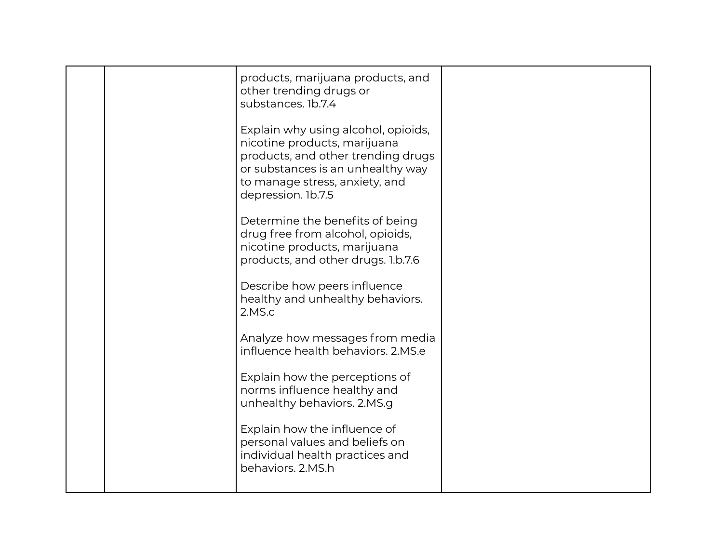|  | products, marijuana products, and<br>other trending drugs or<br>substances. 1b.7.4                                                                                                                     |  |
|--|--------------------------------------------------------------------------------------------------------------------------------------------------------------------------------------------------------|--|
|  | Explain why using alcohol, opioids,<br>nicotine products, marijuana<br>products, and other trending drugs<br>or substances is an unhealthy way<br>to manage stress, anxiety, and<br>depression. 1b.7.5 |  |
|  | Determine the benefits of being<br>drug free from alcohol, opioids,<br>nicotine products, marijuana<br>products, and other drugs. 1.b.7.6                                                              |  |
|  | Describe how peers influence<br>healthy and unhealthy behaviors.<br>2.MS.c                                                                                                                             |  |
|  | Analyze how messages from media<br>influence health behaviors, 2.MS.e                                                                                                                                  |  |
|  | Explain how the perceptions of<br>norms influence healthy and<br>unhealthy behaviors. 2.MS.g                                                                                                           |  |
|  | Explain how the influence of<br>personal values and beliefs on<br>individual health practices and<br>behaviors. 2.MS.h                                                                                 |  |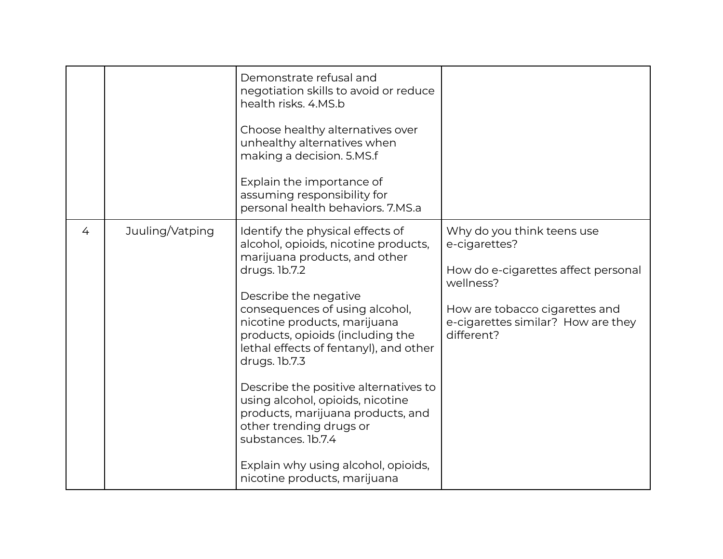|   |                 | Demonstrate refusal and<br>negotiation skills to avoid or reduce<br>health risks, 4.MS.b<br>Choose healthy alternatives over<br>unhealthy alternatives when<br>making a decision. 5.MS.f<br>Explain the importance of<br>assuming responsibility for<br>personal health behaviors. 7.MS.a                                                                                                                                                                                                                                                                      |                                                                                                                                                                                       |
|---|-----------------|----------------------------------------------------------------------------------------------------------------------------------------------------------------------------------------------------------------------------------------------------------------------------------------------------------------------------------------------------------------------------------------------------------------------------------------------------------------------------------------------------------------------------------------------------------------|---------------------------------------------------------------------------------------------------------------------------------------------------------------------------------------|
| 4 | Juuling/Vatping | Identify the physical effects of<br>alcohol, opioids, nicotine products,<br>marijuana products, and other<br>drugs. 1b.7.2<br>Describe the negative<br>consequences of using alcohol,<br>nicotine products, marijuana<br>products, opioids (including the<br>lethal effects of fentanyl), and other<br>drugs. 1b.7.3<br>Describe the positive alternatives to<br>using alcohol, opioids, nicotine<br>products, marijuana products, and<br>other trending drugs or<br>substances. 1b.7.4<br>Explain why using alcohol, opioids,<br>nicotine products, marijuana | Why do you think teens use<br>e-cigarettes?<br>How do e-cigarettes affect personal<br>wellness?<br>How are tobacco cigarettes and<br>e-cigarettes similar? How are they<br>different? |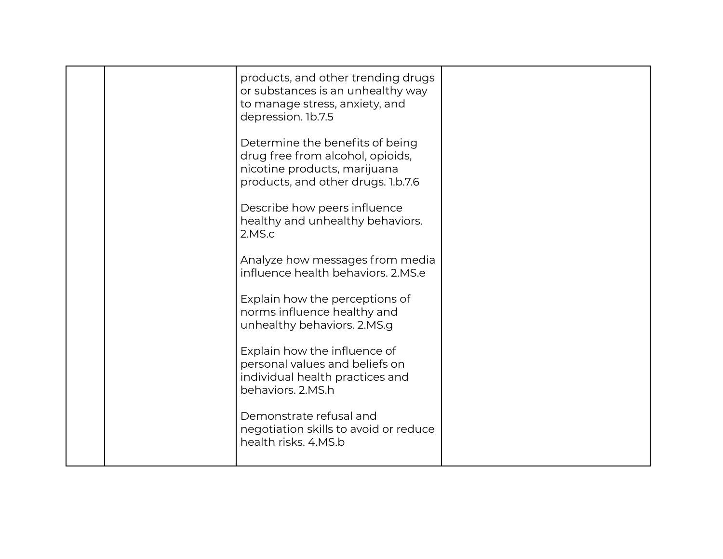|  | products, and other trending drugs<br>or substances is an unhealthy way<br>to manage stress, anxiety, and<br>depression. 1b.7.5           |  |
|--|-------------------------------------------------------------------------------------------------------------------------------------------|--|
|  | Determine the benefits of being<br>drug free from alcohol, opioids,<br>nicotine products, marijuana<br>products, and other drugs. 1.b.7.6 |  |
|  | Describe how peers influence<br>healthy and unhealthy behaviors.<br>2.MS.c                                                                |  |
|  | Analyze how messages from media<br>influence health behaviors, 2.MS.e                                                                     |  |
|  | Explain how the perceptions of<br>norms influence healthy and<br>unhealthy behaviors. 2.MS.g                                              |  |
|  | Explain how the influence of<br>personal values and beliefs on<br>individual health practices and<br>behaviors, 2.MS.h                    |  |
|  | Demonstrate refusal and<br>negotiation skills to avoid or reduce<br>health risks. 4.MS.b                                                  |  |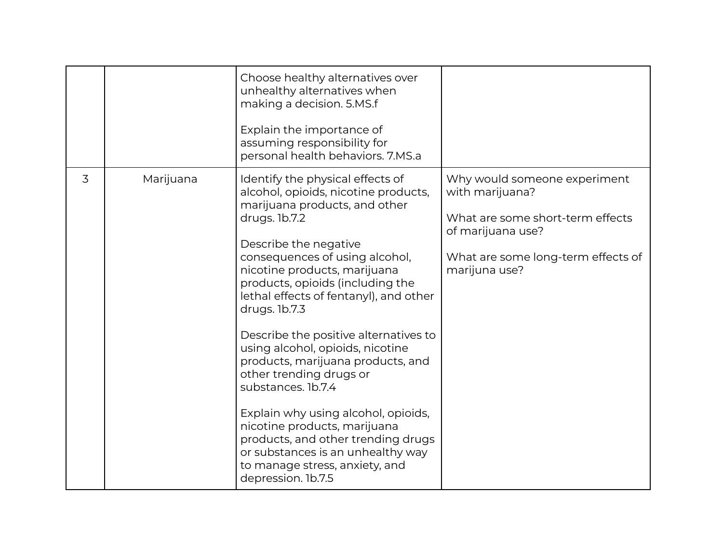|   |           | Choose healthy alternatives over<br>unhealthy alternatives when<br>making a decision. 5.MS.f<br>Explain the importance of<br>assuming responsibility for<br>personal health behaviors. 7.MS.a                                                                                                                                                                                                                                                                                                                                                                                                                                                                                                     |                                                                                                                                                                 |
|---|-----------|---------------------------------------------------------------------------------------------------------------------------------------------------------------------------------------------------------------------------------------------------------------------------------------------------------------------------------------------------------------------------------------------------------------------------------------------------------------------------------------------------------------------------------------------------------------------------------------------------------------------------------------------------------------------------------------------------|-----------------------------------------------------------------------------------------------------------------------------------------------------------------|
| 3 | Marijuana | Identify the physical effects of<br>alcohol, opioids, nicotine products,<br>marijuana products, and other<br>drugs. 1b.7.2<br>Describe the negative<br>consequences of using alcohol,<br>nicotine products, marijuana<br>products, opioids (including the<br>lethal effects of fentanyl), and other<br>drugs. 1b.7.3<br>Describe the positive alternatives to<br>using alcohol, opioids, nicotine<br>products, marijuana products, and<br>other trending drugs or<br>substances. 1b.7.4<br>Explain why using alcohol, opioids,<br>nicotine products, marijuana<br>products, and other trending drugs<br>or substances is an unhealthy way<br>to manage stress, anxiety, and<br>depression. 1b.7.5 | Why would someone experiment<br>with marijuana?<br>What are some short-term effects<br>of marijuana use?<br>What are some long-term effects of<br>marijuna use? |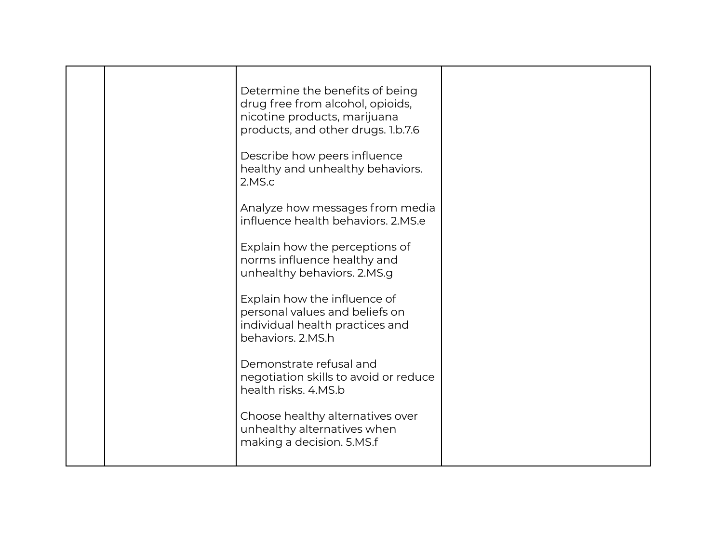|  | Determine the benefits of being<br>drug free from alcohol, opioids,<br>nicotine products, marijuana<br>products, and other drugs. 1.b.7.6<br>Describe how peers influence |  |
|--|---------------------------------------------------------------------------------------------------------------------------------------------------------------------------|--|
|  | healthy and unhealthy behaviors.<br>2.MS.c<br>Analyze how messages from media<br>influence health behaviors. 2.MS.e                                                       |  |
|  | Explain how the perceptions of<br>norms influence healthy and<br>unhealthy behaviors. 2.MS.g                                                                              |  |
|  | Explain how the influence of<br>personal values and beliefs on<br>individual health practices and<br>behaviors, 2.MS.h                                                    |  |
|  | Demonstrate refusal and<br>negotiation skills to avoid or reduce<br>health risks, 4.MS.b                                                                                  |  |
|  | Choose healthy alternatives over<br>unhealthy alternatives when<br>making a decision. 5.MS.f                                                                              |  |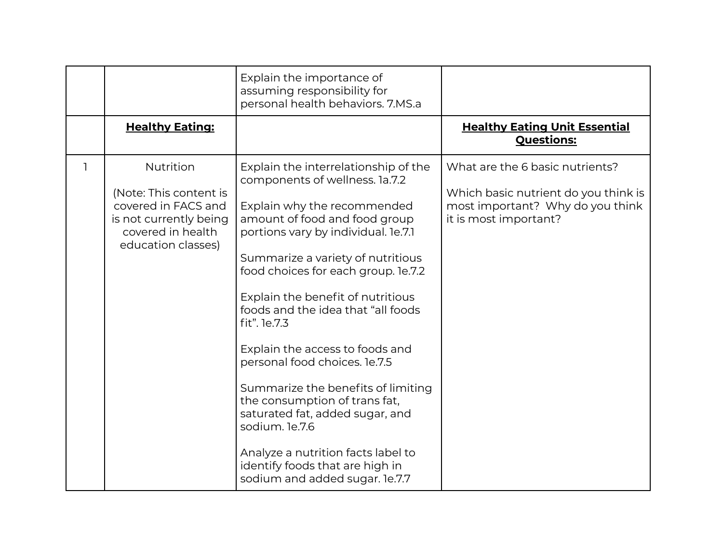|   |                                                                                                                                 | Explain the importance of<br>assuming responsibility for<br>personal health behaviors. 7.MS.a                                                                                                                                                                                                                                                                                                                                                                                                                                                                                                                                                                   |                                                                                                                                      |
|---|---------------------------------------------------------------------------------------------------------------------------------|-----------------------------------------------------------------------------------------------------------------------------------------------------------------------------------------------------------------------------------------------------------------------------------------------------------------------------------------------------------------------------------------------------------------------------------------------------------------------------------------------------------------------------------------------------------------------------------------------------------------------------------------------------------------|--------------------------------------------------------------------------------------------------------------------------------------|
|   | <b>Healthy Eating:</b>                                                                                                          |                                                                                                                                                                                                                                                                                                                                                                                                                                                                                                                                                                                                                                                                 | <b>Healthy Eating Unit Essential</b><br><b>Questions:</b>                                                                            |
| 1 | Nutrition<br>(Note: This content is<br>covered in FACS and<br>is not currently being<br>covered in health<br>education classes) | Explain the interrelationship of the<br>components of wellness. 1a.7.2<br>Explain why the recommended<br>amount of food and food group<br>portions vary by individual. le.7.1<br>Summarize a variety of nutritious<br>food choices for each group. le.7.2<br>Explain the benefit of nutritious<br>foods and the idea that "all foods<br>fit". 1e.7.3<br>Explain the access to foods and<br>personal food choices. le.7.5<br>Summarize the benefits of limiting<br>the consumption of trans fat,<br>saturated fat, added sugar, and<br>sodium. le.7.6<br>Analyze a nutrition facts label to<br>identify foods that are high in<br>sodium and added sugar. le.7.7 | What are the 6 basic nutrients?<br>Which basic nutrient do you think is<br>most important? Why do you think<br>it is most important? |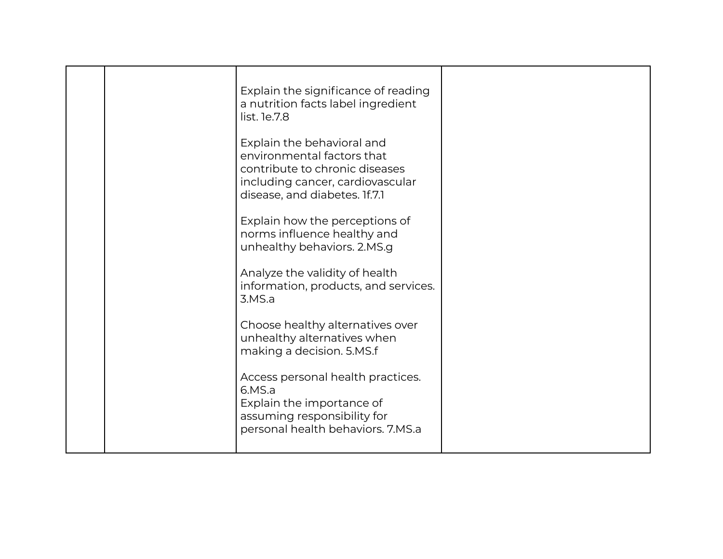| Explain the significance of reading<br>a nutrition facts label ingredient<br>list. 1e.7.8<br>Explain the behavioral and<br>environmental factors that<br>contribute to chronic diseases<br>including cancer, cardiovascular<br>disease, and diabetes. If.7.1<br>Explain how the perceptions of |  |
|------------------------------------------------------------------------------------------------------------------------------------------------------------------------------------------------------------------------------------------------------------------------------------------------|--|
| norms influence healthy and<br>unhealthy behaviors. 2.MS.g<br>Analyze the validity of health<br>information, products, and services.<br>3.MS.a                                                                                                                                                 |  |
| Choose healthy alternatives over<br>unhealthy alternatives when<br>making a decision. 5.MS.f<br>Access personal health practices.<br>6.MS.a<br>Explain the importance of<br>assuming responsibility for<br>personal health behaviors. 7.MS.a                                                   |  |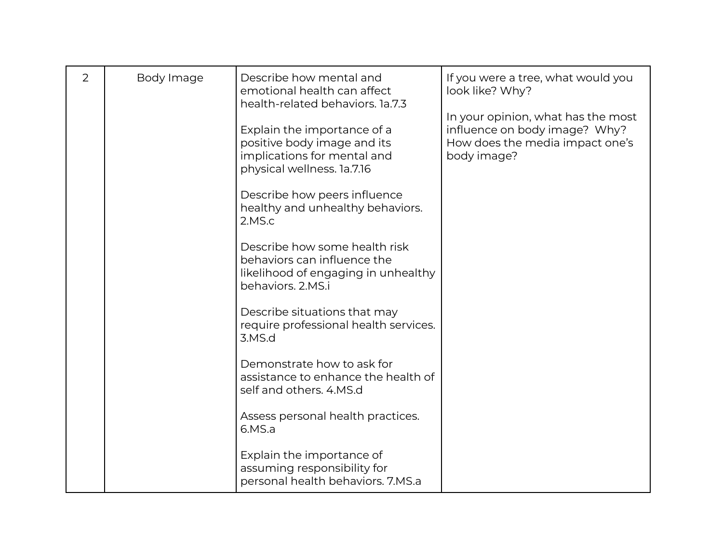| 2 | Body Image | Describe how mental and<br>emotional health can affect<br>health-related behaviors, 1a.7.3                               | If you were a tree, what would you<br>look like? Why?                                                                 |
|---|------------|--------------------------------------------------------------------------------------------------------------------------|-----------------------------------------------------------------------------------------------------------------------|
|   |            | Explain the importance of a<br>positive body image and its<br>implications for mental and<br>physical wellness. 1a.7.16  | In your opinion, what has the most<br>influence on body image? Why?<br>How does the media impact one's<br>body image? |
|   |            | Describe how peers influence<br>healthy and unhealthy behaviors.<br>2.MS.c                                               |                                                                                                                       |
|   |            | Describe how some health risk<br>behaviors can influence the<br>likelihood of engaging in unhealthy<br>behaviors, 2.MS.i |                                                                                                                       |
|   |            | Describe situations that may<br>require professional health services.<br>3.MS.d                                          |                                                                                                                       |
|   |            | Demonstrate how to ask for<br>assistance to enhance the health of<br>self and others. 4.MS.d                             |                                                                                                                       |
|   |            | Assess personal health practices.<br>6.MS.a                                                                              |                                                                                                                       |
|   |            | Explain the importance of<br>assuming responsibility for<br>personal health behaviors. 7.MS.a                            |                                                                                                                       |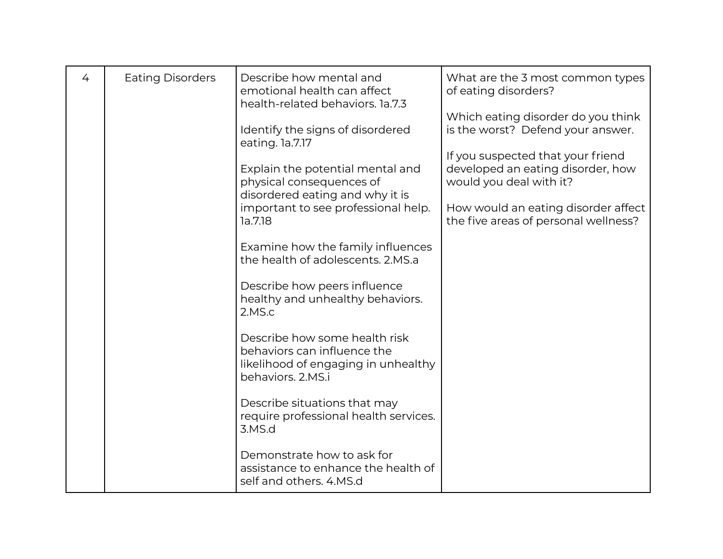| 4 | <b>Eating Disorders</b> | Describe how mental and<br>emotional health can affect<br>health-related behaviors. 1a.7.3                               | What are the 3 most common types<br>of eating disorders?                                                                                          |
|---|-------------------------|--------------------------------------------------------------------------------------------------------------------------|---------------------------------------------------------------------------------------------------------------------------------------------------|
|   |                         | Identify the signs of disordered<br>eating. la.7.17<br>Explain the potential mental and                                  | Which eating disorder do you think<br>is the worst? Defend your answer.<br>If you suspected that your friend<br>developed an eating disorder, how |
|   |                         | physical consequences of<br>disordered eating and why it is<br>important to see professional help.<br>la.7.18            | would you deal with it?<br>How would an eating disorder affect<br>the five areas of personal wellness?                                            |
|   |                         | Examine how the family influences<br>the health of adolescents, 2.MS.a                                                   |                                                                                                                                                   |
|   |                         | Describe how peers influence<br>healthy and unhealthy behaviors.<br>2.MS.c                                               |                                                                                                                                                   |
|   |                         | Describe how some health risk<br>behaviors can influence the<br>likelihood of engaging in unhealthy<br>behaviors, 2.MS.i |                                                                                                                                                   |
|   |                         | Describe situations that may<br>require professional health services.<br>3.MS.d                                          |                                                                                                                                                   |
|   |                         | Demonstrate how to ask for<br>assistance to enhance the health of<br>self and others. 4.MS.d                             |                                                                                                                                                   |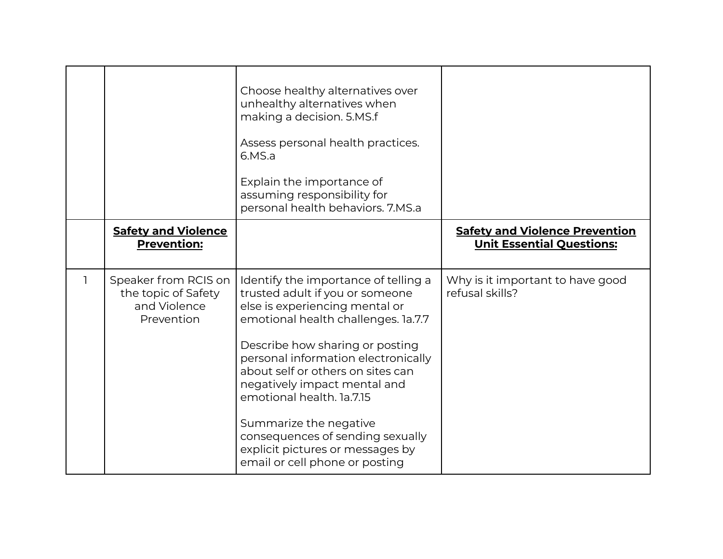|                                                                           | Choose healthy alternatives over<br>unhealthy alternatives when<br>making a decision. 5.MS.f<br>Assess personal health practices.<br>6.MS.a<br>Explain the importance of<br>assuming responsibility for<br>personal health behaviors. 7.MS.a                                                                                                                                                                                                                     |                                                                           |
|---------------------------------------------------------------------------|------------------------------------------------------------------------------------------------------------------------------------------------------------------------------------------------------------------------------------------------------------------------------------------------------------------------------------------------------------------------------------------------------------------------------------------------------------------|---------------------------------------------------------------------------|
| <b>Safety and Violence</b><br><b>Prevention:</b>                          |                                                                                                                                                                                                                                                                                                                                                                                                                                                                  | <b>Safety and Violence Prevention</b><br><b>Unit Essential Questions:</b> |
| Speaker from RCIS on<br>the topic of Safety<br>and Violence<br>Prevention | Identify the importance of telling a<br>trusted adult if you or someone<br>else is experiencing mental or<br>emotional health challenges. 1a.7.7<br>Describe how sharing or posting<br>personal information electronically<br>about self or others on sites can<br>negatively impact mental and<br>emotional health. 1a.7.15<br>Summarize the negative<br>consequences of sending sexually<br>explicit pictures or messages by<br>email or cell phone or posting | Why is it important to have good<br>refusal skills?                       |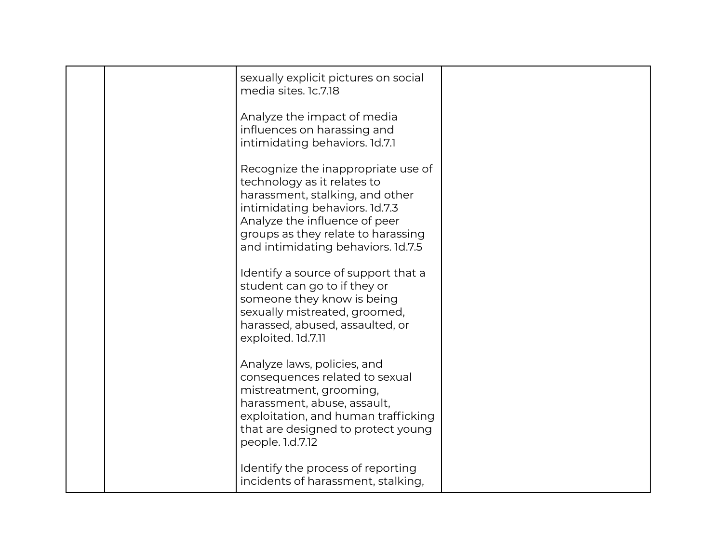|  | sexually explicit pictures on social<br>media sites. 1c.7.18                                                                                                                                                                                        |  |
|--|-----------------------------------------------------------------------------------------------------------------------------------------------------------------------------------------------------------------------------------------------------|--|
|  | Analyze the impact of media<br>influences on harassing and<br>intimidating behaviors. 1d.7.1                                                                                                                                                        |  |
|  | Recognize the inappropriate use of<br>technology as it relates to<br>harassment, stalking, and other<br>intimidating behaviors. 1d.7.3<br>Analyze the influence of peer<br>groups as they relate to harassing<br>and intimidating behaviors. 1d.7.5 |  |
|  | Identify a source of support that a<br>student can go to if they or<br>someone they know is being<br>sexually mistreated, groomed,<br>harassed, abused, assaulted, or<br>exploited. 1d.7.11                                                         |  |
|  | Analyze laws, policies, and<br>consequences related to sexual<br>mistreatment, grooming,<br>harassment, abuse, assault,<br>exploitation, and human trafficking<br>that are designed to protect young<br>people. 1.d.7.12                            |  |
|  | Identify the process of reporting<br>incidents of harassment, stalking,                                                                                                                                                                             |  |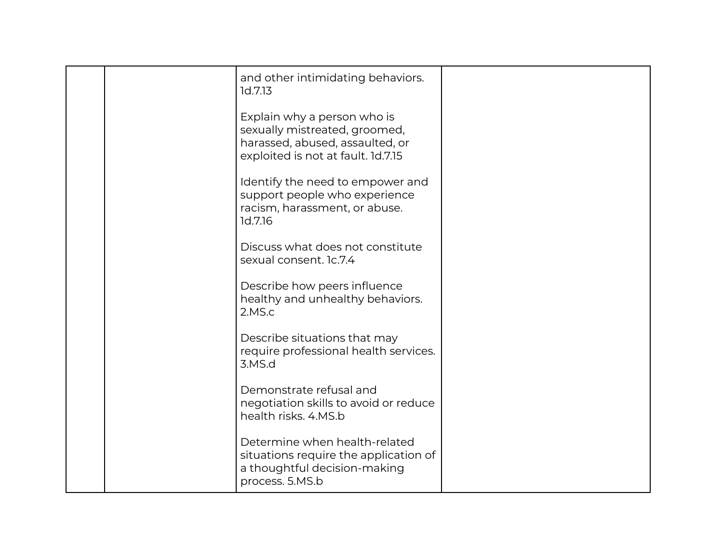|  | and other intimidating behaviors.<br>1d.7.13                                                                                          |  |
|--|---------------------------------------------------------------------------------------------------------------------------------------|--|
|  | Explain why a person who is<br>sexually mistreated, groomed,<br>harassed, abused, assaulted, or<br>exploited is not at fault. 1d.7.15 |  |
|  | Identify the need to empower and<br>support people who experience<br>racism, harassment, or abuse.<br>1d.7.16                         |  |
|  | Discuss what does not constitute<br>sexual consent. 1c.7.4                                                                            |  |
|  | Describe how peers influence<br>healthy and unhealthy behaviors.<br>2.MS.c                                                            |  |
|  | Describe situations that may<br>require professional health services.<br>3.MS.d                                                       |  |
|  | Demonstrate refusal and<br>negotiation skills to avoid or reduce<br>health risks, 4.MS.b                                              |  |
|  | Determine when health-related<br>situations require the application of<br>a thoughtful decision-making<br>process. 5.MS.b             |  |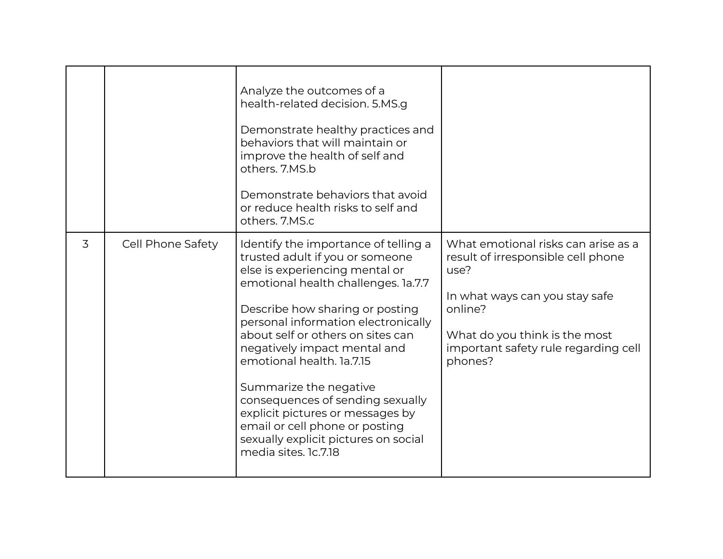|   |                   | Analyze the outcomes of a<br>health-related decision. 5.MS.g<br>Demonstrate healthy practices and<br>behaviors that will maintain or<br>improve the health of self and<br>others. 7.MS.b<br>Demonstrate behaviors that avoid<br>or reduce health risks to self and<br>others. 7.MS.c                                                                                                                                                                                                                                             |                                                                                                                                                                                                                    |
|---|-------------------|----------------------------------------------------------------------------------------------------------------------------------------------------------------------------------------------------------------------------------------------------------------------------------------------------------------------------------------------------------------------------------------------------------------------------------------------------------------------------------------------------------------------------------|--------------------------------------------------------------------------------------------------------------------------------------------------------------------------------------------------------------------|
| 3 | Cell Phone Safety | Identify the importance of telling a<br>trusted adult if you or someone<br>else is experiencing mental or<br>emotional health challenges. 1a.7.7<br>Describe how sharing or posting<br>personal information electronically<br>about self or others on sites can<br>negatively impact mental and<br>emotional health. 1a.7.15<br>Summarize the negative<br>consequences of sending sexually<br>explicit pictures or messages by<br>email or cell phone or posting<br>sexually explicit pictures on social<br>media sites. 1c.7.18 | What emotional risks can arise as a<br>result of irresponsible cell phone<br>use?<br>In what ways can you stay safe<br>online?<br>What do you think is the most<br>important safety rule regarding cell<br>phones? |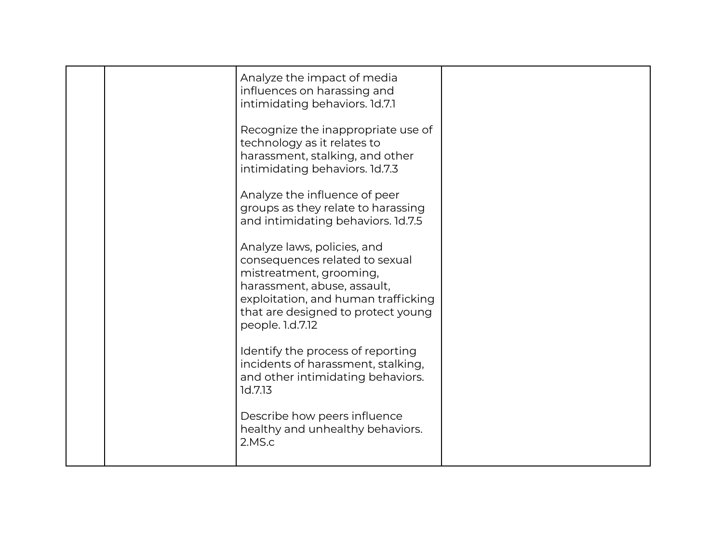| Analyze the impact of media<br>influences on harassing and<br>intimidating behaviors. 1d.7.1<br>Recognize the inappropriate use of<br>technology as it relates to<br>harassment, stalking, and other<br>intimidating behaviors. 1d.7.3 |  |
|----------------------------------------------------------------------------------------------------------------------------------------------------------------------------------------------------------------------------------------|--|
| Analyze the influence of peer<br>groups as they relate to harassing<br>and intimidating behaviors. 1d.7.5                                                                                                                              |  |
| Analyze laws, policies, and<br>consequences related to sexual<br>mistreatment, grooming,<br>harassment, abuse, assault,<br>exploitation, and human trafficking<br>that are designed to protect young<br>people. 1.d.7.12               |  |
| Identify the process of reporting<br>incidents of harassment, stalking,<br>and other intimidating behaviors.<br>1d.7.13                                                                                                                |  |
| Describe how peers influence<br>healthy and unhealthy behaviors.<br>2.MS.c                                                                                                                                                             |  |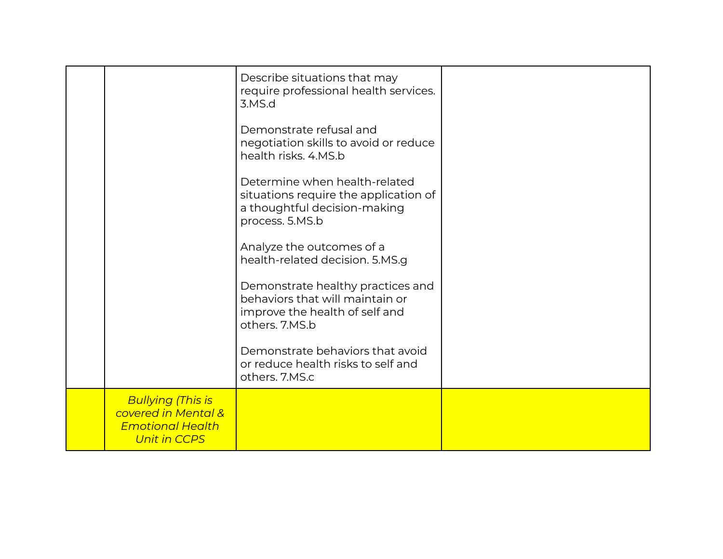|                                                                                                   | Describe situations that may<br>require professional health services.<br>3.MS.d                                           |  |
|---------------------------------------------------------------------------------------------------|---------------------------------------------------------------------------------------------------------------------------|--|
|                                                                                                   | Demonstrate refusal and<br>negotiation skills to avoid or reduce<br>health risks, 4.MS.b                                  |  |
|                                                                                                   | Determine when health-related<br>situations require the application of<br>a thoughtful decision-making<br>process. 5.MS.b |  |
|                                                                                                   | Analyze the outcomes of a<br>health-related decision. 5.MS.g                                                              |  |
|                                                                                                   | Demonstrate healthy practices and<br>behaviors that will maintain or<br>improve the health of self and<br>others. 7.MS.b  |  |
|                                                                                                   | Demonstrate behaviors that avoid<br>or reduce health risks to self and<br>others. 7.MS.c                                  |  |
| <b>Bullying (This is</b><br>covered in Mental &<br><b>Emotional Health</b><br><b>Unit in CCPS</b> |                                                                                                                           |  |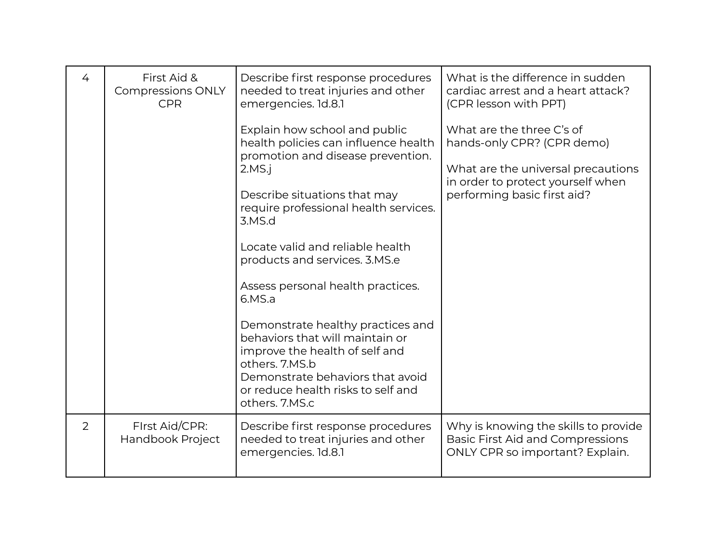| 4 | First Aid &<br><b>Compressions ONLY</b><br><b>CPR</b> | Describe first response procedures<br>needed to treat injuries and other<br>emergencies. 1d.8.1<br>Explain how school and public<br>health policies can influence health<br>promotion and disease prevention.<br>2.MS.i<br>Describe situations that may<br>require professional health services.<br>3.MS.d<br>Locate valid and reliable health<br>products and services. 3.MS.e<br>Assess personal health practices.<br>6.MS.a<br>Demonstrate healthy practices and<br>behaviors that will maintain or<br>improve the health of self and<br>others. 7.MS.b<br>Demonstrate behaviors that avoid<br>or reduce health risks to self and<br>others. 7.MS.c | What is the difference in sudden<br>cardiac arrest and a heart attack?<br>(CPR lesson with PPT)<br>What are the three C's of<br>hands-only CPR? (CPR demo)<br>What are the universal precautions<br>in order to protect yourself when<br>performing basic first aid? |
|---|-------------------------------------------------------|--------------------------------------------------------------------------------------------------------------------------------------------------------------------------------------------------------------------------------------------------------------------------------------------------------------------------------------------------------------------------------------------------------------------------------------------------------------------------------------------------------------------------------------------------------------------------------------------------------------------------------------------------------|----------------------------------------------------------------------------------------------------------------------------------------------------------------------------------------------------------------------------------------------------------------------|
| 2 | First Aid/CPR:<br>Handbook Project                    | Describe first response procedures<br>needed to treat injuries and other<br>emergencies. 1d.8.1                                                                                                                                                                                                                                                                                                                                                                                                                                                                                                                                                        | Why is knowing the skills to provide<br><b>Basic First Aid and Compressions</b><br>ONLY CPR so important? Explain.                                                                                                                                                   |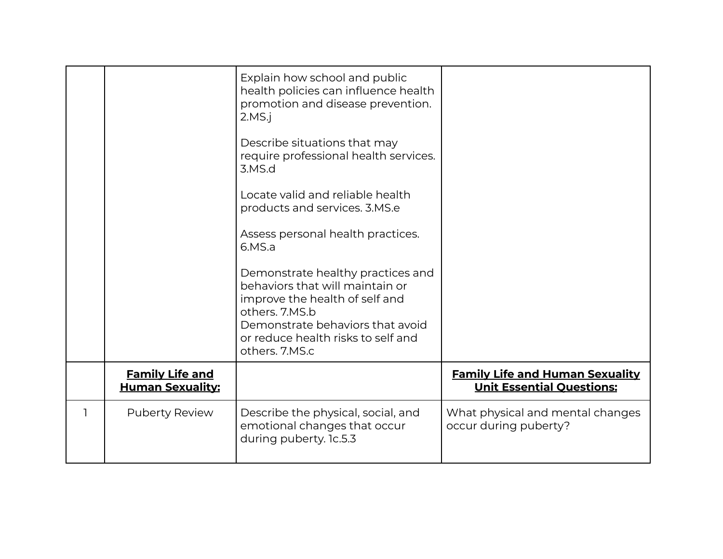|                                                   | Explain how school and public<br>health policies can influence health<br>promotion and disease prevention.<br>2.MS.i<br>Describe situations that may<br>require professional health services.<br>3.MS.d<br>Locate valid and reliable health<br>products and services. 3.MS.e<br>Assess personal health practices.<br>6.MS.a<br>Demonstrate healthy practices and<br>behaviors that will maintain or<br>improve the health of self and<br>others, 7.MS.b<br>Demonstrate behaviors that avoid<br>or reduce health risks to self and<br>others. 7.MS.c |                                                                            |
|---------------------------------------------------|-----------------------------------------------------------------------------------------------------------------------------------------------------------------------------------------------------------------------------------------------------------------------------------------------------------------------------------------------------------------------------------------------------------------------------------------------------------------------------------------------------------------------------------------------------|----------------------------------------------------------------------------|
| <b>Family Life and</b><br><b>Human Sexuality:</b> |                                                                                                                                                                                                                                                                                                                                                                                                                                                                                                                                                     | <b>Family Life and Human Sexuality</b><br><b>Unit Essential Questions:</b> |
| <b>Puberty Review</b>                             | Describe the physical, social, and<br>emotional changes that occur<br>during puberty. 1c.5.3                                                                                                                                                                                                                                                                                                                                                                                                                                                        | What physical and mental changes<br>occur during puberty?                  |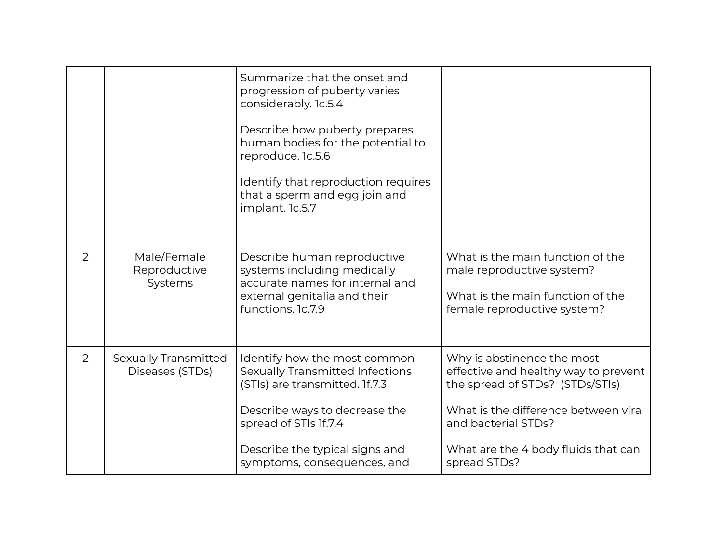|                |                                                | Summarize that the onset and<br>progression of puberty varies<br>considerably. 1c.5.4<br>Describe how puberty prepares<br>human bodies for the potential to<br>reproduce. 1c.5.6<br>Identify that reproduction requires<br>that a sperm and egg join and<br>implant. 1c.5.7 |                                                                                                                                                                                                                             |
|----------------|------------------------------------------------|-----------------------------------------------------------------------------------------------------------------------------------------------------------------------------------------------------------------------------------------------------------------------------|-----------------------------------------------------------------------------------------------------------------------------------------------------------------------------------------------------------------------------|
| $\overline{2}$ | Male/Female<br>Reproductive<br>Systems         | Describe human reproductive<br>systems including medically<br>accurate names for internal and<br>external genitalia and their<br>functions. 1c.7.9                                                                                                                          | What is the main function of the<br>male reproductive system?<br>What is the main function of the<br>female reproductive system?                                                                                            |
| 2              | <b>Sexually Transmitted</b><br>Diseases (STDs) | Identify how the most common<br>Sexually Transmitted Infections<br>(STIs) are transmitted. If.7.3<br>Describe ways to decrease the<br>spread of STIs 1f.7.4<br>Describe the typical signs and<br>symptoms, consequences, and                                                | Why is abstinence the most<br>effective and healthy way to prevent<br>the spread of STDs? (STDs/STIs)<br>What is the difference between viral<br>and bacterial STDs?<br>What are the 4 body fluids that can<br>spread STDs? |